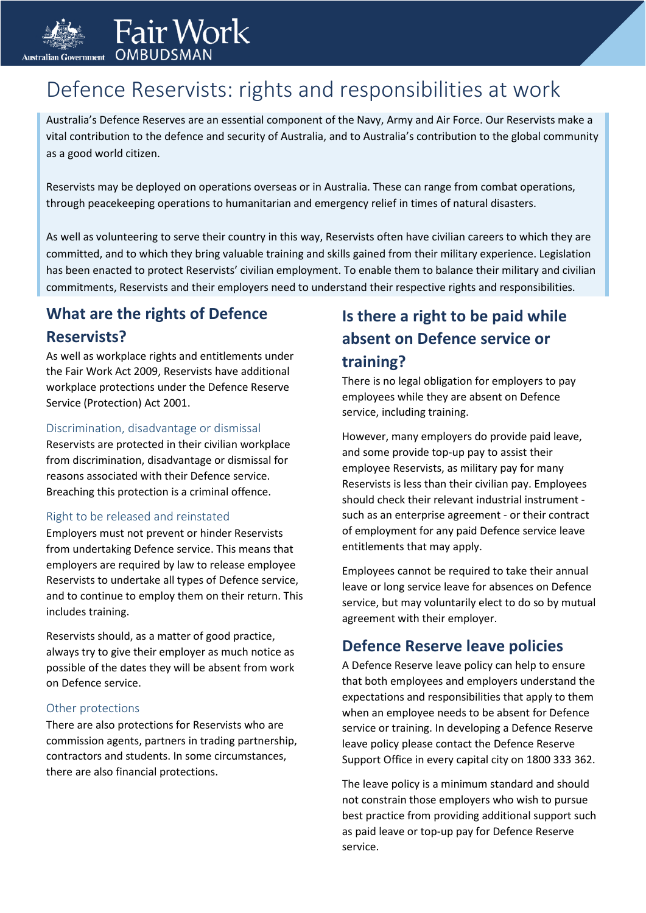

## Fair Work **OMBUDSMA**

# Defence Reservists: rights and responsibilities at work

Australia's Defence Reserves are an essential component of the Navy, Army and Air Force. Our Reservists make a vital contribution to the defence and security of Australia, and to Australia's contribution to the global community as a good world citizen.

Reservists may be deployed on operations overseas or in Australia. These can range from combat operations, through peacekeeping operations to humanitarian and emergency relief in times of natural disasters.

As well as volunteering to serve their country in this way, Reservists often have civilian careers to which they are committed, and to which they bring valuable training and skills gained from their military experience. Legislation has been enacted to protect Reservists' civilian employment. To enable them to balance their military and civilian commitments, Reservists and their employers need to understand their respective rights and responsibilities.

### **What are the rights of Defence Reservists?**

As well as workplace rights and entitlements under the Fair Work Act 2009, Reservists have additional workplace protections under the Defence Reserve Service (Protection) Act 2001.

#### Discrimination, disadvantage or dismissal

Reservists are protected in their civilian workplace from discrimination, disadvantage or dismissal for reasons associated with their Defence service. Breaching this protection is a criminal offence.

#### Right to be released and reinstated

Employers must not prevent or hinder Reservists from undertaking Defence service. This means that employers are required by law to release employee Reservists to undertake all types of Defence service, and to continue to employ them on their return. This includes training.

Reservists should, as a matter of good practice, always try to give their employer as much notice as possible of the dates they will be absent from work on Defence service.

#### Other protections

There are also protections for Reservists who are commission agents, partners in trading partnership, contractors and students. In some circumstances, there are also financial protections.

### **Is there a right to be paid while absent on Defence service or training?**

There is no legal obligation for employers to pay employees while they are absent on Defence service, including training.

However, many employers do provide paid leave, and some provide top-up pay to assist their employee Reservists, as military pay for many Reservists is less than their civilian pay. Employees should check their relevant industrial instrument such as an enterprise agreement - or their contract of employment for any paid Defence service leave entitlements that may apply.

Employees cannot be required to take their annual leave or long service leave for absences on Defence service, but may voluntarily elect to do so by mutual agreement with their employer.

### **Defence Reserve leave policies**

A Defence Reserve leave policy can help to ensure that both employees and employers understand the expectations and responsibilities that apply to them when an employee needs to be absent for Defence service or training. In developing a Defence Reserve leave policy please contact the Defence Reserve Support Office in every capital city on 1800 333 362.

The leave policy is a minimum standard and should not constrain those employers who wish to pursue best practice from providing additional support such as paid leave or top-up pay for Defence Reserve service.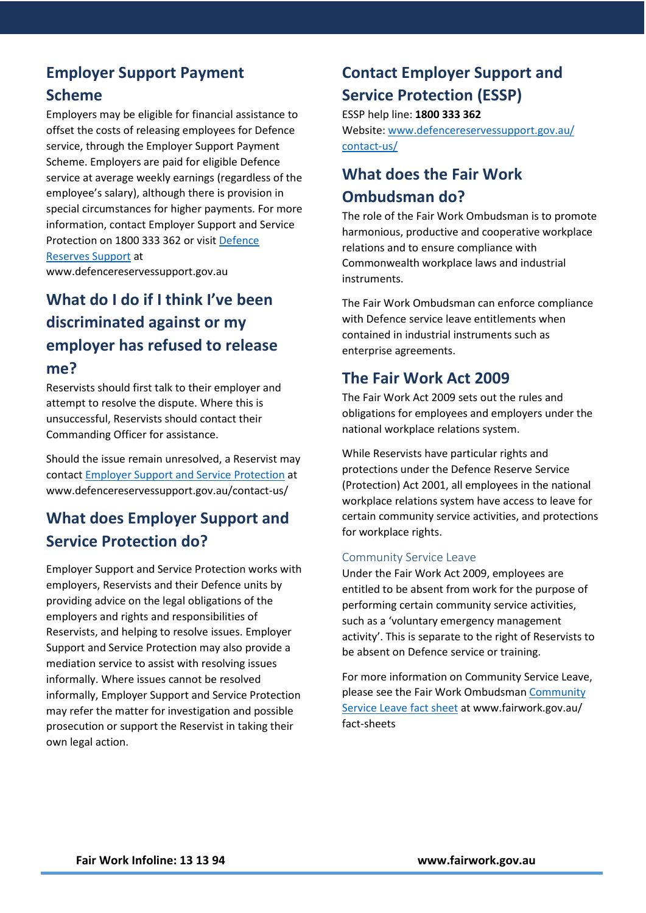## **Employer Support Payment**

#### **Scheme**

Employers may be eligible for financial assistance to offset the costs of releasing employees for Defence service, through the Employer Support Payment Scheme. Employers are paid for eligible Defence service at average weekly earnings (regardless of the employee's salary), although there is provision in special circumstances for higher payments. For more information, contact Employer Support and Service Protection on 1800 333 362 or visit [Defence](https://www.defencereservessupport.gov.au/) [Reserves Support at](https://www.defencereservessupport.gov.au/) 

www.defencereservessupport.gov.au

## **What do I do if I think I've been discriminated against or my employer has refused to release me?**

Reservists should first talk to their employer and attempt to resolve the dispute. Where this is unsuccessful, Reservists should contact their Commanding Officer for assistance.

Should the issue remain unresolved, a Reservist may contact Employer [Support and](https://www.defencereservessupport.gov.au/contact-us/) Service Protection at www.defencereservessupport.gov.au/contact-us/

### **What does Employer Support and Service Protection do?**

Employer Support and Service Protection works with employers, Reservists and their Defence units by providing advice on the legal obligations of the employers and rights and responsibilities of Reservists, and helping to resolve issues. Employer Support and Service Protection may also provide a mediation service to assist with resolving issues informally. Where issues cannot be resolved informally, Employer Support and Service Protection may refer the matter for investigation and possible prosecution or support the Reservist in taking their own legal action.

## **Contact Employer Support and Service Protection (ESSP)**

ESSP help line: **1800 333 362** Website: [www.defencereservessupport.gov.au/](http://www.defencereservessupport.gov.au/contact-us/) [contact-us/](http://www.defencereservessupport.gov.au/contact-us/)

### **What does the Fair Work Ombudsman do?**

The role of the Fair Work Ombudsman is to promote harmonious, productive and cooperative workplace relations and to ensure compliance with Commonwealth workplace laws and industrial instruments.

The Fair Work Ombudsman can enforce compliance with Defence service leave entitlements when contained in industrial instruments such as enterprise agreements.

### **The Fair Work Act 2009**

The Fair Work Act 2009 sets out the rules and obligations for employees and employers under the national workplace relations system.

While Reservists have particular rights and protections under the Defence Reserve Service (Protection) Act 2001, all employees in the national workplace relations system have access to leave for certain community service activities, and protections for workplace rights.

#### Community Service Leave

Under the Fair Work Act 2009, employees are entitled to be absent from work for the purpose of performing certain community service activities, such as a 'voluntary emergency management activity'. This is separate to the right of Reservists to be absent on Defence service or training.

For more information on Community Service Leave, please see the Fair Work Ombudsman [Community](http://www.fairwork.gov.au/factsheets) [Service Leave fact sheet at www.fairwork.gov.au/](http://www.fairwork.gov.au/factsheets)  fact-sheets